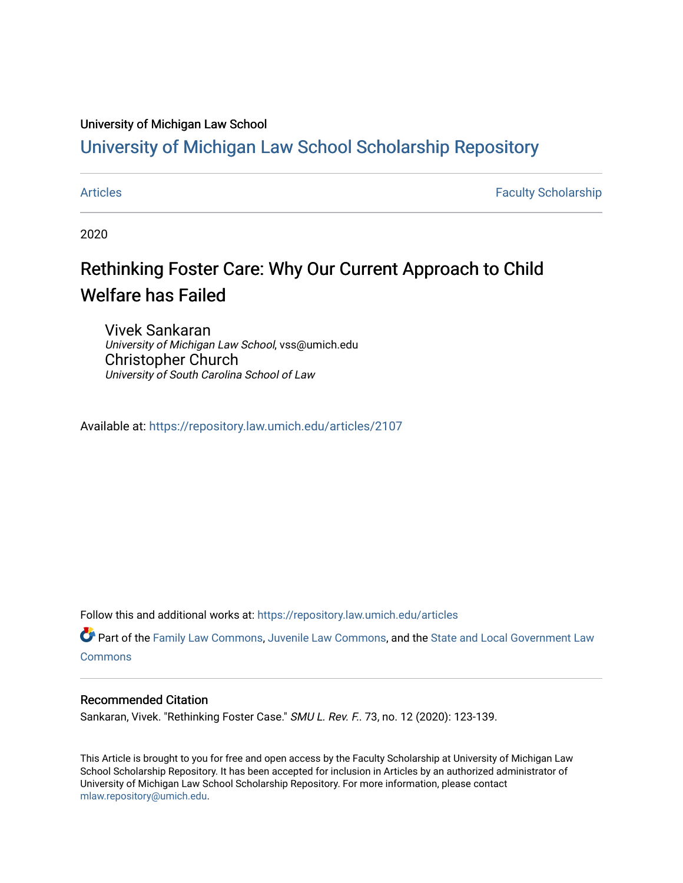### University of Michigan Law School

## [University of Michigan Law School Scholarship Repository](https://repository.law.umich.edu/)

[Articles](https://repository.law.umich.edu/articles) **Faculty Scholarship** Faculty Scholarship

2020

# Rethinking Foster Care: Why Our Current Approach to Child Welfare has Failed

Vivek Sankaran University of Michigan Law School, vss@umich.edu Christopher Church University of South Carolina School of Law

Available at: <https://repository.law.umich.edu/articles/2107>

Follow this and additional works at: [https://repository.law.umich.edu/articles](https://repository.law.umich.edu/articles?utm_source=repository.law.umich.edu%2Farticles%2F2107&utm_medium=PDF&utm_campaign=PDFCoverPages) 

Part of the [Family Law Commons,](http://network.bepress.com/hgg/discipline/602?utm_source=repository.law.umich.edu%2Farticles%2F2107&utm_medium=PDF&utm_campaign=PDFCoverPages) [Juvenile Law Commons](http://network.bepress.com/hgg/discipline/851?utm_source=repository.law.umich.edu%2Farticles%2F2107&utm_medium=PDF&utm_campaign=PDFCoverPages), and the State and Local Government Law **[Commons](http://network.bepress.com/hgg/discipline/879?utm_source=repository.law.umich.edu%2Farticles%2F2107&utm_medium=PDF&utm_campaign=PDFCoverPages)** 

### Recommended Citation

Sankaran, Vivek. "Rethinking Foster Case." SMU L. Rev. F.. 73, no. 12 (2020): 123-139.

This Article is brought to you for free and open access by the Faculty Scholarship at University of Michigan Law School Scholarship Repository. It has been accepted for inclusion in Articles by an authorized administrator of University of Michigan Law School Scholarship Repository. For more information, please contact [mlaw.repository@umich.edu.](mailto:mlaw.repository@umich.edu)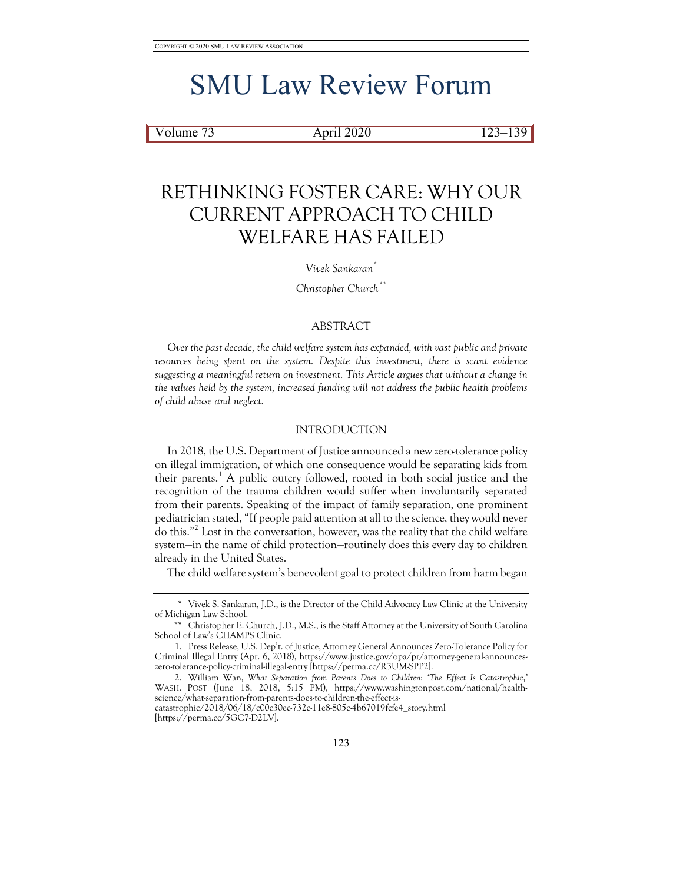# SMU Law Review Forum

### Volume 73 **April 2020** 123–139

# RETHINKING FOSTER CARE: WHY OUR CURRENT APPROACH TO CHILD WELFARE HAS FAILED

#### *Vivek Sankaran[\\*](#page-1-0)*

*Christopher Church[\\*\\*](#page-1-1)*

### ABSTRACT

*Over the past decade, the child welfare system has expanded, with vast public and private resources being spent on the system. Despite this investment, there is scant evidence suggesting a meaningful return on investment. This Article argues that without a change in the values held by the system, increased funding will not address the public health problems of child abuse and neglect.*

### INTRODUCTION

In 2018, the U.S. Department of Justice announced a new zero-tolerance policy on illegal immigration, of which one consequence would be separating kids from their parents.<sup>[1](#page-1-2)</sup> A public outcry followed, rooted in both social justice and the recognition of the trauma children would suffer when involuntarily separated from their parents. Speaking of the impact of family separation, one prominent pediatrician stated, "If people paid attention at all to the science, they would never do this."[2](#page-1-3) Lost in the conversation, however, was the reality that the child welfare system—in the name of child protection—routinely does this every day to children already in the United States.

The child welfare system's benevolent goal to protect children from harm began

<span id="page-1-0"></span><sup>\*</sup> Vivek S. Sankaran, J.D., is the Director of the Child Advocacy Law Clinic at the University of Michigan Law School.

<span id="page-1-1"></span><sup>\*\*</sup> Christopher E. Church, J.D., M.S., is the Staff Attorney at the University of South Carolina School of Law's CHAMPS Clinic.

<span id="page-1-2"></span><sup>1.</sup> Press Release, U.S. Dep't. of Justice, Attorney General Announces Zero-Tolerance Policy for Criminal Illegal Entry (Apr. 6, 2018), https://www.justice.gov/opa/pr/attorney-general-announceszero-tolerance-policy-criminal-illegal-entry [https://perma.cc/R3UM-SPP2].

<span id="page-1-3"></span><sup>2.</sup> William Wan, *What Separation from Parents Does to Children: 'The Effect Is Catastrophic*,*'* WASH. POST (June 18, 2018, 5:15 PM), https://www.washingtonpost.com/national/healthscience/what-separation-from-parents-does-to-children-the-effect-iscatastrophic/2018/06/18/c00c30ec-732c-11e8-805c-4b67019fcfe4\_story.html

<sup>[</sup>https://perma.cc/5GC7-D2LV].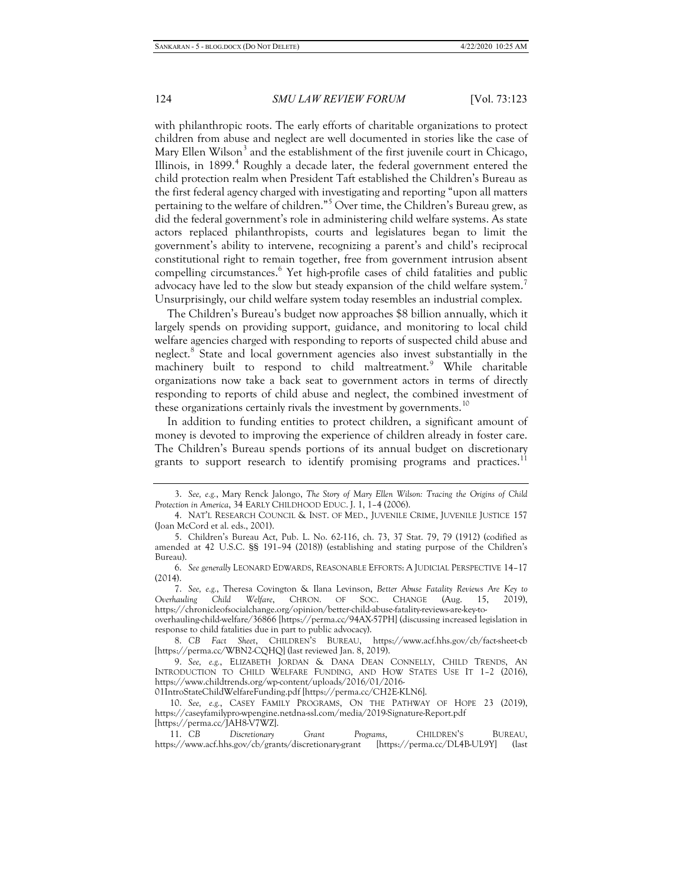with philanthropic roots. The early efforts of charitable organizations to protect children from abuse and neglect are well documented in stories like the case of Mary Ellen Wilson<sup>[3](#page-2-0)</sup> and the establishment of the first juvenile court in Chicago, Illinois, in  $1899$ <sup>[4](#page-2-1)</sup> Roughly a decade later, the federal government entered the child protection realm when President Taft established the Children's Bureau as the first federal agency charged with investigating and reporting "upon all matters pertaining to the welfare of children."[5](#page-2-2) Over time, the Children's Bureau grew, as did the federal government's role in administering child welfare systems. As state actors replaced philanthropists, courts and legislatures began to limit the government's ability to intervene, recognizing a parent's and child's reciprocal constitutional right to remain together, free from government intrusion absent compelling circumstances.<sup>[6](#page-2-3)</sup> Yet high-profile cases of child fatalities and public advocacy have led to the slow but steady expansion of the child welfare system.<sup>[7](#page-2-4)</sup> Unsurprisingly, our child welfare system today resembles an industrial complex.

The Children's Bureau's budget now approaches \$8 billion annually, which it largely spends on providing support, guidance, and monitoring to local child welfare agencies charged with responding to reports of suspected child abuse and neglect.[8](#page-2-5) State and local government agencies also invest substantially in the machinery built to respond to child maltreatment.<sup>[9](#page-2-6)</sup> While charitable organizations now take a back seat to government actors in terms of directly responding to reports of child abuse and neglect, the combined investment of these organizations certainly rivals the investment by governments.<sup>[10](#page-2-7)</sup>

In addition to funding entities to protect children, a significant amount of money is devoted to improving the experience of children already in foster care. The Children's Bureau spends portions of its annual budget on discretionary grants to support research to identify promising programs and practices.<sup>[11](#page-2-8)</sup>

overhauling-child-welfare/36866 [https://perma.cc/94AX-57PH] (discussing increased legislation in response to child fatalities due in part to public advocacy).

01IntroStateChildWelfareFunding.pdf [https://perma.cc/CH2E-KLN6].

<span id="page-2-0"></span><sup>3.</sup> *See, e.g.*, Mary Renck Jalongo, *The Story of Mary Ellen Wilson: Tracing the Origins of Child Protection in America*, 34 EARLY CHILDHOOD EDUC. J. 1, 1–4 (2006).

<span id="page-2-1"></span><sup>4.</sup> NAT'L RESEARCH COUNCIL & INST. OF MED., JUVENILE CRIME, JUVENILE JUSTICE 157 (Joan McCord et al. eds., 2001).

<span id="page-2-2"></span><sup>5.</sup> Children's Bureau Act, Pub. L. No. 62-116, ch. 73, 37 Stat. 79, 79 (1912) (codified as amended at 42 U.S.C. §§ 191–94 (2018)) (establishing and stating purpose of the Children's Bureau).

<span id="page-2-3"></span><sup>6.</sup> *See generally* LEONARD EDWARDS, REASONABLE EFFORTS: A JUDICIAL PERSPECTIVE 14–17 (2014).

<span id="page-2-4"></span><sup>7.</sup> *See, e.g.*, Theresa Covington & Ilana Levinson, *Better Abuse Fatality Reviews Are Key to Overhauling Child Welfare*, CHRON. OF SOC. CHANGE (Aug. 15, 2019), https://chronicleofsocialchange.org/opinion/better-child-abuse-fatality-reviews-are-key-to-

<span id="page-2-5"></span><sup>8.</sup> *CB Fact Sheet*, CHILDREN'S BUREAU, https://www.acf.hhs.gov/cb/fact-sheet-cb [https://perma.cc/WBN2-CQHQ] (last reviewed Jan. 8, 2019).

<span id="page-2-6"></span><sup>9.</sup> *See, e.g.*, ELIZABETH JORDAN & DANA DEAN CONNELLY, CHILD TRENDS, AN INTRODUCTION TO CHILD WELFARE FUNDING, AND HOW STATES USE IT 1–2 (2016), https://www.childtrends.org/wp-content/uploads/2016/01/2016-

<span id="page-2-7"></span><sup>10.</sup> *See, e.g.*, CASEY FAMILY PROGRAMS, ON THE PATHWAY OF HOPE 23 (2019), https://caseyfamilypro-wpengine.netdna-ssl.com/media/2019-Signature-Report.pdf [https://perma.cc/JAH8-V7WZ].

<span id="page-2-8"></span><sup>11.</sup> *CB Discretionary Grant Programs*, CHILDREN'S BUREAU, https://www.acf.hhs.gov/cb/grants/discretionary-grant [https://perma.cc/DL4B-UL9Y] (last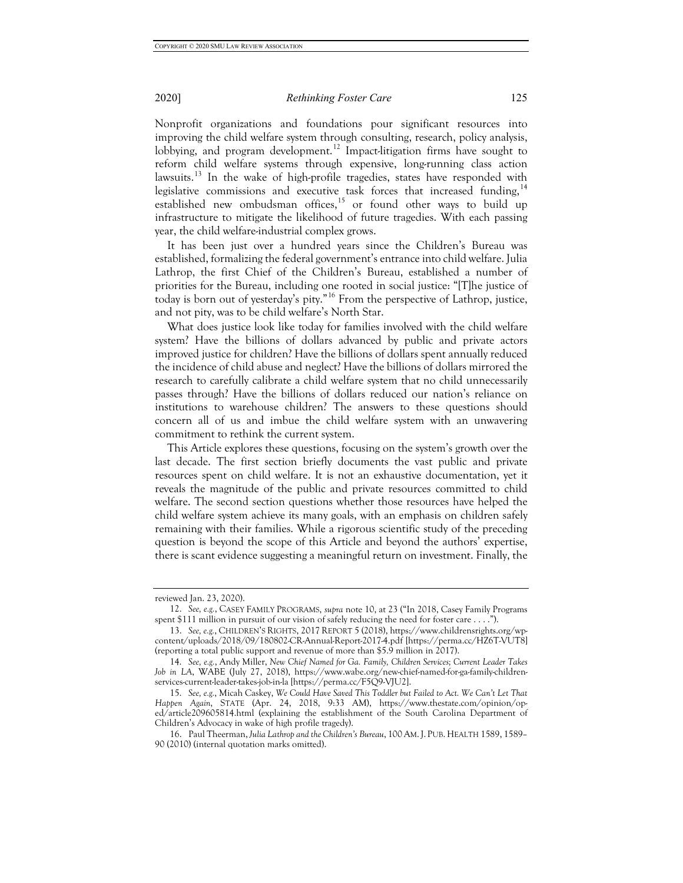Nonprofit organizations and foundations pour significant resources into improving the child welfare system through consulting, research, policy analysis,

lobbying, and program development.<sup>[12](#page-3-0)</sup> Impact-litigation firms have sought to reform child welfare systems through expensive, long-running class action lawsuits.<sup>[13](#page-3-1)</sup> In the wake of high-profile tragedies, states have responded with legislative commissions and executive task forces that increased funding,  $14$ established new ombudsman offices, $15$  or found other ways to build up infrastructure to mitigate the likelihood of future tragedies. With each passing year, the child welfare-industrial complex grows.

It has been just over a hundred years since the Children's Bureau was established, formalizing the federal government's entrance into child welfare. Julia Lathrop, the first Chief of the Children's Bureau, established a number of priorities for the Bureau, including one rooted in social justice: "[T]he justice of today is born out of yesterday's pity."[16](#page-3-4) From the perspective of Lathrop, justice, and not pity, was to be child welfare's North Star.

What does justice look like today for families involved with the child welfare system? Have the billions of dollars advanced by public and private actors improved justice for children? Have the billions of dollars spent annually reduced the incidence of child abuse and neglect? Have the billions of dollars mirrored the research to carefully calibrate a child welfare system that no child unnecessarily passes through? Have the billions of dollars reduced our nation's reliance on institutions to warehouse children? The answers to these questions should concern all of us and imbue the child welfare system with an unwavering commitment to rethink the current system.

This Article explores these questions, focusing on the system's growth over the last decade. The first section briefly documents the vast public and private resources spent on child welfare. It is not an exhaustive documentation, yet it reveals the magnitude of the public and private resources committed to child welfare. The second section questions whether those resources have helped the child welfare system achieve its many goals, with an emphasis on children safely remaining with their families. While a rigorous scientific study of the preceding question is beyond the scope of this Article and beyond the authors' expertise, there is scant evidence suggesting a meaningful return on investment. Finally, the

reviewed Jan. 23, 2020).

<span id="page-3-0"></span><sup>12.</sup> *See, e.g.*, CASEY FAMILY PROGRAMS, *supra* note 10, at 23 ("In 2018, Casey Family Programs spent \$111 million in pursuit of our vision of safely reducing the need for foster care . . . .").

<span id="page-3-1"></span><sup>13.</sup> *See, e.g.*, CHILDREN'S RIGHTS, 2017REPORT 5 (2018), https://www.childrensrights.org/wpcontent/uploads/2018/09/180802-CR-Annual-Report-2017-4.pdf [https://perma.cc/HZ6T-VUT8] (reporting a total public support and revenue of more than \$5.9 million in 2017).

<span id="page-3-2"></span><sup>14.</sup> *See, e.g.*, Andy Miller, *New Chief Named for Ga. Family, Children Services; Current Leader Takes Job in LA*, WABE (July 27, 2018), https://www.wabe.org/new-chief-named-for-ga-family-childrenservices-current-leader-takes-job-in-la [https://perma.cc/F5Q9-VJU2].

<span id="page-3-3"></span><sup>15.</sup> *See, e.g.*, Micah Caskey, *We Could Have Saved This Toddler but Failed to Act. We Can't Let That Happen Again*, STATE (Apr. 24, 2018, 9:33 AM), https://www.thestate.com/opinion/oped/article209605814.html (explaining the establishment of the South Carolina Department of Children's Advocacy in wake of high profile tragedy).

<span id="page-3-4"></span><sup>16.</sup> Paul Theerman, *Julia Lathrop and the Children's Bureau*, 100 AM.J. PUB.HEALTH 1589, 1589– 90 (2010) (internal quotation marks omitted).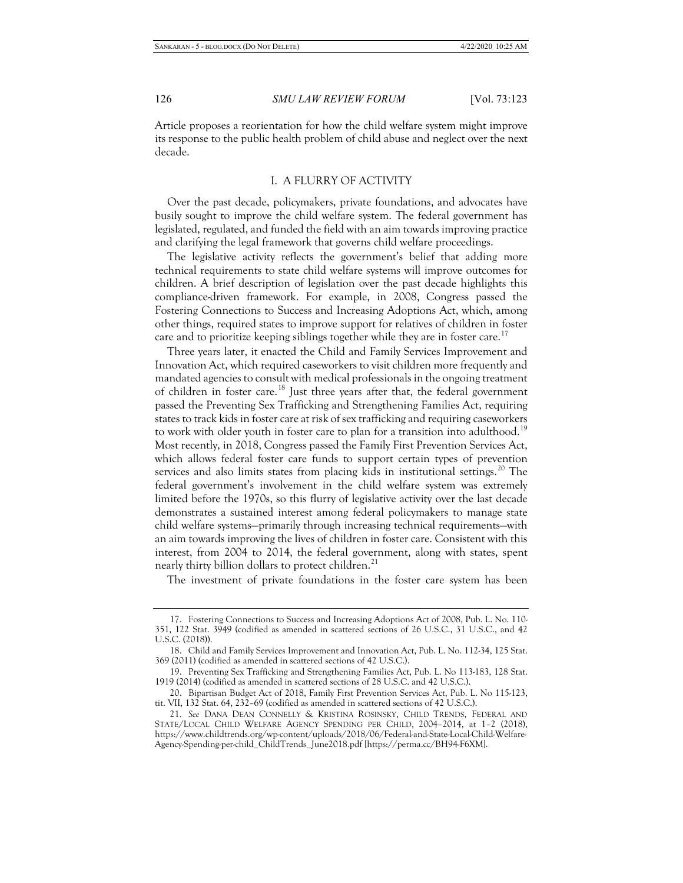Article proposes a reorientation for how the child welfare system might improve its response to the public health problem of child abuse and neglect over the next decade.

### I. A FLURRY OF ACTIVITY

Over the past decade, policymakers, private foundations, and advocates have busily sought to improve the child welfare system. The federal government has legislated, regulated, and funded the field with an aim towards improving practice and clarifying the legal framework that governs child welfare proceedings.

The legislative activity reflects the government's belief that adding more technical requirements to state child welfare systems will improve outcomes for children. A brief description of legislation over the past decade highlights this compliance-driven framework. For example, in 2008, Congress passed the Fostering Connections to Success and Increasing Adoptions Act, which, among other things, required states to improve support for relatives of children in foster care and to prioritize keeping siblings together while they are in foster care.<sup>[17](#page-4-0)</sup>

Three years later, it enacted the Child and Family Services Improvement and Innovation Act, which required caseworkers to visit children more frequently and mandated agencies to consult with medical professionals in the ongoing treatment of children in foster care.<sup>[18](#page-4-1)</sup> Just three years after that, the federal government passed the Preventing Sex Trafficking and Strengthening Families Act, requiring states to track kids in foster care at risk of sex trafficking and requiring caseworkers to work with older youth in foster care to plan for a transition into adulthood.<sup>[19](#page-4-2)</sup> Most recently, in 2018, Congress passed the Family First Prevention Services Act, which allows federal foster care funds to support certain types of prevention services and also limits states from placing kids in institutional settings.<sup>[20](#page-4-3)</sup> The federal government's involvement in the child welfare system was extremely limited before the 1970s, so this flurry of legislative activity over the last decade demonstrates a sustained interest among federal policymakers to manage state child welfare systems—primarily through increasing technical requirements—with an aim towards improving the lives of children in foster care. Consistent with this interest, from 2004 to 2014, the federal government, along with states, spent nearly thirty billion dollars to protect children.<sup>[21](#page-4-4)</sup>

The investment of private foundations in the foster care system has been

<span id="page-4-0"></span><sup>17.</sup> Fostering Connections to Success and Increasing Adoptions Act of 2008, Pub. L. No. 110- 351, 122 Stat. 3949 (codified as amended in scattered sections of 26 U.S.C., 31 U.S.C., and 42 U.S.C. (2018)).

<span id="page-4-1"></span><sup>18.</sup> Child and Family Services Improvement and Innovation Act, Pub. L. No. 112-34, 125 Stat. 369 (2011) (codified as amended in scattered sections of 42 U.S.C.).

<span id="page-4-2"></span><sup>19.</sup> Preventing Sex Trafficking and Strengthening Families Act, Pub. L. No 113-183, 128 Stat. 1919 (2014) (codified as amended in scattered sections of 28 U.S.C. and 42 U.S.C.).

<span id="page-4-3"></span><sup>20.</sup> Bipartisan Budget Act of 2018, Family First Prevention Services Act, Pub. L. No 115-123, tit. VII, 132 Stat. 64, 232–69 (codified as amended in scattered sections of 42 U.S.C.).

<span id="page-4-4"></span><sup>21.</sup> *See* DANA DEAN CONNELLY & KRISTINA ROSINSKY, CHILD TRENDS, FEDERAL AND STATE/LOCAL CHILD WELFARE AGENCY SPENDING PER CHILD, 2004–2014, at 1–2 (2018), https://www.childtrends.org/wp-content/uploads/2018/06/Federal-and-State-Local-Child-Welfare-Agency-Spending-per-child\_ChildTrends\_June2018.pdf [https://perma.cc/BH94-F6XM].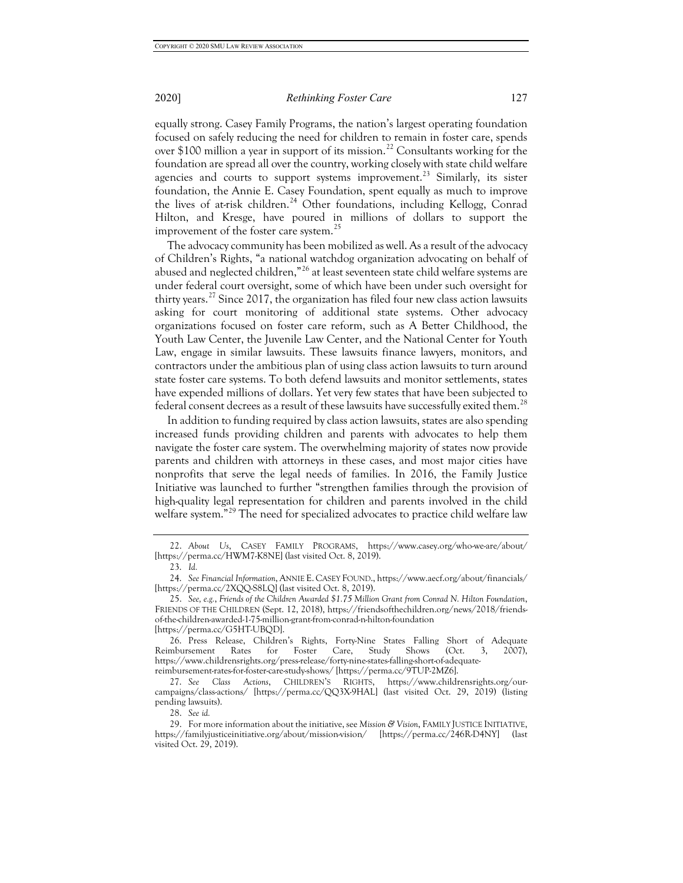equally strong. Casey Family Programs, the nation's largest operating foundation focused on safely reducing the need for children to remain in foster care, spends over \$100 million a year in support of its mission.<sup>[22](#page-5-0)</sup> Consultants working for the foundation are spread all over the country, working closely with state child welfare agencies and courts to support systems improvement.<sup>[23](#page-5-1)</sup> Similarly, its sister foundation, the Annie E. Casey Foundation, spent equally as much to improve the lives of at-risk children.<sup>[24](#page-5-2)</sup> Other foundations, including Kellogg, Conrad Hilton, and Kresge, have poured in millions of dollars to support the improvement of the foster care system.<sup>[25](#page-5-3)</sup>

The advocacy community has been mobilized as well. As a result of the advocacy of Children's Rights, "a national watchdog organization advocating on behalf of abused and neglected children,"<sup>[26](#page-5-4)</sup> at least seventeen state child welfare systems are under federal court oversight, some of which have been under such oversight for thirty years.<sup>[27](#page-5-5)</sup> Since 2017, the organization has filed four new class action lawsuits asking for court monitoring of additional state systems. Other advocacy organizations focused on foster care reform, such as A Better Childhood, the Youth Law Center, the Juvenile Law Center, and the National Center for Youth Law, engage in similar lawsuits. These lawsuits finance lawyers, monitors, and contractors under the ambitious plan of using class action lawsuits to turn around state foster care systems. To both defend lawsuits and monitor settlements, states have expended millions of dollars. Yet very few states that have been subjected to federal consent decrees as a result of these lawsuits have successfully exited them.<sup>[28](#page-5-6)</sup>

In addition to funding required by class action lawsuits, states are also spending increased funds providing children and parents with advocates to help them navigate the foster care system. The overwhelming majority of states now provide parents and children with attorneys in these cases, and most major cities have nonprofits that serve the legal needs of families. In 2016, the Family Justice Initiative was launched to further "strengthen families through the provision of high-quality legal representation for children and parents involved in the child welfare system."<sup>[29](#page-5-7)</sup> The need for specialized advocates to practice child welfare law

<span id="page-5-0"></span><sup>22.</sup> *About Us*, CASEY FAMILY PROGRAMS, https://www.casey.org/who-we-are/about/ [https://perma.cc/HWM7-K8NE] (last visited Oct. 8, 2019).

<sup>23.</sup> *Id.*

<span id="page-5-2"></span><span id="page-5-1"></span><sup>24.</sup> *See Financial Information*, ANNIE E. CASEY FOUND., https://www.aecf.org/about/financials/ [https://perma.cc/2XQQ-S8LQ] (last visited Oct. 8, 2019).

<span id="page-5-3"></span><sup>25.</sup> *See, e.g.*, *Friends of the Children Awarded \$1.75 Million Grant from Conrad N. Hilton Foundation*, FRIENDS OF THE CHILDREN (Sept. 12, 2018), https://friendsofthechildren.org/news/2018/friendsof-the-children-awarded-1-75-million-grant-from-conrad-n-hilton-foundation [https://perma.cc/G5HT-UBQD].

<span id="page-5-4"></span><sup>26.</sup> Press Release, Children's Rights, Forty-Nine States Falling Short of Adequate Reimbursement Rates for Foster Care, Study Shows (Oct. 3, 2007), https://www.childrensrights.org/press-release/forty-nine-states-falling-short-of-adequatereimbursement-rates-for-foster-care-study-shows/ [https://perma.cc/9TUP-2MZ6].

<span id="page-5-5"></span><sup>27.</sup> *See Class Actions*, CHILDREN'S RIGHTS, https://www.childrensrights.org/ourcampaigns/class-actions/ [https://perma.cc/QQ3X-9HAL] (last visited Oct. 29, 2019) (listing pending lawsuits).

<sup>28.</sup> *See id.*

<span id="page-5-7"></span><span id="page-5-6"></span><sup>29.</sup> For more information about the initiative, see *Mission & Vision*, FAMILY JUSTICE INITIATIVE, https://familyjusticeinitiative.org/about/mission-vision/ [https://perma.cc/246R-D4NY] (last visited Oct. 29, 2019).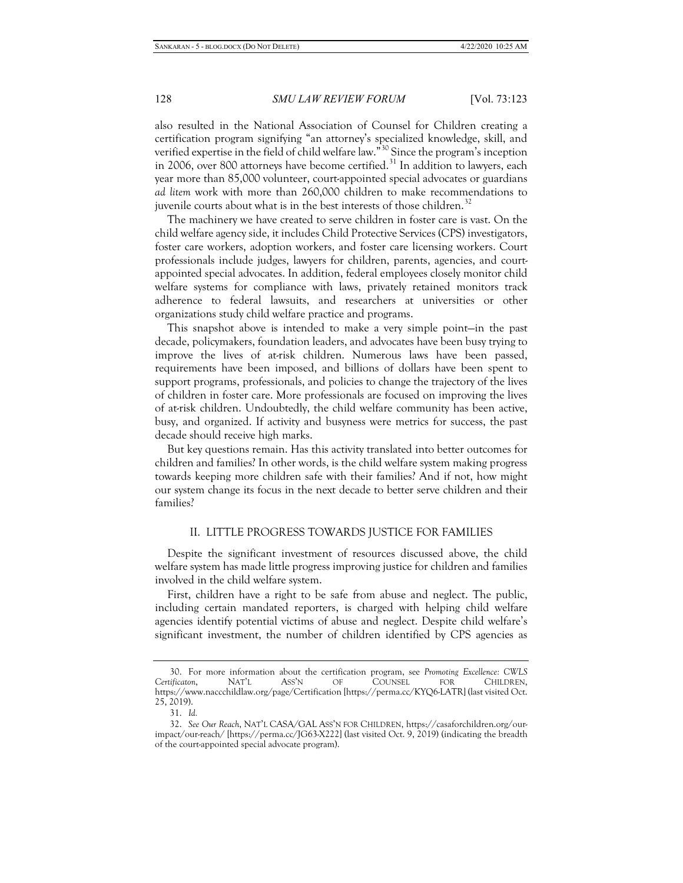also resulted in the National Association of Counsel for Children creating a certification program signifying "an attorney's specialized knowledge, skill, and verified expertise in the field of child welfare law."<sup>[30](#page-6-0)</sup> Since the program's inception in 2006, over 800 attorneys have become certified. $31$  In addition to lawyers, each year more than 85,000 volunteer, court-appointed special advocates or guardians *ad litem* work with more than 260,000 children to make recommendations to juvenile courts about what is in the best interests of those children.<sup>[32](#page-6-2)</sup>

The machinery we have created to serve children in foster care is vast. On the child welfare agency side, it includes Child Protective Services (CPS) investigators, foster care workers, adoption workers, and foster care licensing workers. Court professionals include judges, lawyers for children, parents, agencies, and courtappointed special advocates. In addition, federal employees closely monitor child welfare systems for compliance with laws, privately retained monitors track adherence to federal lawsuits, and researchers at universities or other organizations study child welfare practice and programs.

This snapshot above is intended to make a very simple point—in the past decade, policymakers, foundation leaders, and advocates have been busy trying to improve the lives of at-risk children. Numerous laws have been passed, requirements have been imposed, and billions of dollars have been spent to support programs, professionals, and policies to change the trajectory of the lives of children in foster care. More professionals are focused on improving the lives of at-risk children. Undoubtedly, the child welfare community has been active, busy, and organized. If activity and busyness were metrics for success, the past decade should receive high marks.

But key questions remain. Has this activity translated into better outcomes for children and families? In other words, is the child welfare system making progress towards keeping more children safe with their families? And if not, how might our system change its focus in the next decade to better serve children and their families?

### II. LITTLE PROGRESS TOWARDS JUSTICE FOR FAMILIES

Despite the significant investment of resources discussed above, the child welfare system has made little progress improving justice for children and families involved in the child welfare system.

First, children have a right to be safe from abuse and neglect. The public, including certain mandated reporters, is charged with helping child welfare agencies identify potential victims of abuse and neglect. Despite child welfare's significant investment, the number of children identified by CPS agencies as

<span id="page-6-0"></span><sup>30.</sup> For more information about the certification program, see *Promoting Excellence: CWLS Certificaton*, NAT'L ASS'N OF COUNSEL FOR CHILDREN, https://www.naccchildlaw.org/page/Certification [https://perma.cc/KYQ6-LATR] (last visited Oct. 25, 2019).

<sup>31.</sup> *Id.*

<span id="page-6-2"></span><span id="page-6-1"></span><sup>32.</sup> *See Our Reach*, NAT'L CASA/GAL ASS'N FOR CHILDREN, https://casaforchildren.org/ourimpact/our-reach/ [https://perma.cc/JG63-X222] (last visited Oct. 9, 2019) (indicating the breadth of the court-appointed special advocate program).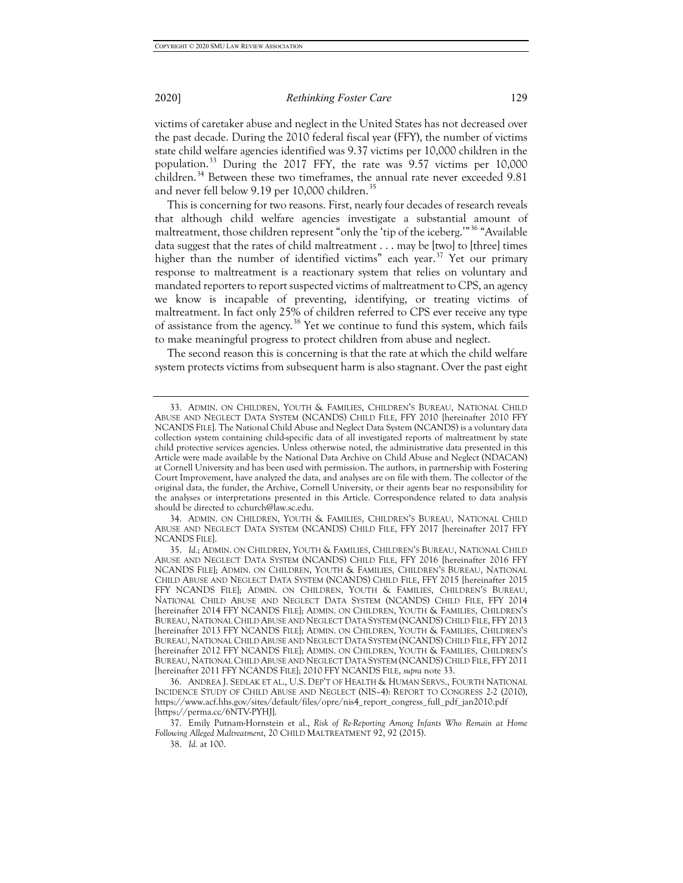victims of caretaker abuse and neglect in the United States has not decreased over the past decade. During the 2010 federal fiscal year (FFY), the number of victims state child welfare agencies identified was 9.37 victims per 10,000 children in the population.[33](#page-7-0) During the 2017 FFY, the rate was 9.57 victims per 10,000 children.<sup>[34](#page-7-1)</sup> Between these two timeframes, the annual rate never exceeded 9.81 and never fell below 9.19 per 10,000 children.<sup>[35](#page-7-2)</sup>

This is concerning for two reasons. First, nearly four decades of research reveals that although child welfare agencies investigate a substantial amount of maltreatment, those children represent "only the 'tip of the iceberg.'"[36](#page-7-3) "Available data suggest that the rates of child maltreatment . . . may be [two] to [three] times higher than the number of identified victims" each year.<sup>[37](#page-7-4)</sup> Yet our primary response to maltreatment is a reactionary system that relies on voluntary and mandated reporters to report suspected victims of maltreatment to CPS, an agency we know is incapable of preventing, identifying, or treating victims of maltreatment. In fact only 25% of children referred to CPS ever receive any type of assistance from the agency.<sup>[38](#page-7-5)</sup> Yet we continue to fund this system, which fails to make meaningful progress to protect children from abuse and neglect.

The second reason this is concerning is that the rate at which the child welfare system protects victims from subsequent harm is also stagnant. Over the past eight

<span id="page-7-1"></span>34. ADMIN. ON CHILDREN, YOUTH & FAMILIES, CHILDREN'S BUREAU, NATIONAL CHILD ABUSE AND NEGLECT DATA SYSTEM (NCANDS) CHILD FILE, FFY 2017 [hereinafter 2017 FFY NCANDS FILE].

<span id="page-7-5"></span><span id="page-7-4"></span>37. Emily Putnam-Hornstein et al., *Risk of Re-Reporting Among Infants Who Remain at Home Following Alleged Maltreatment*, 20 CHILD MALTREATMENT 92, 92 (2015).

38. *Id.* at 100.

<span id="page-7-0"></span><sup>33.</sup> ADMIN. ON CHILDREN, YOUTH & FAMILIES, CHILDREN'S BUREAU, NATIONAL CHILD ABUSE AND NEGLECT DATA SYSTEM (NCANDS) CHILD FILE, FFY 2010 [hereinafter 2010 FFY NCANDS FILE]. The National Child Abuse and Neglect Data System (NCANDS) is a voluntary data collection system containing child-specific data of all investigated reports of maltreatment by state child protective services agencies. Unless otherwise noted, the administrative data presented in this Article were made available by the National Data Archive on Child Abuse and Neglect (NDACAN) at Cornell University and has been used with permission. The authors, in partnership with Fostering Court Improvement, have analyzed the data, and analyses are on file with them. The collector of the original data, the funder, the Archive, Cornell University, or their agents bear no responsibility for the analyses or interpretations presented in this Article. Correspondence related to data analysis should be directed to cchurch@law.sc.edu.

<span id="page-7-2"></span><sup>35.</sup> *Id.*; ADMIN. ON CHILDREN, YOUTH & FAMILIES, CHILDREN'S BUREAU, NATIONAL CHILD ABUSE AND NEGLECT DATA SYSTEM (NCANDS) CHILD FILE, FFY 2016 [hereinafter 2016 FFY NCANDS FILE]; ADMIN. ON CHILDREN, YOUTH & FAMILIES, CHILDREN'S BUREAU, NATIONAL CHILD ABUSE AND NEGLECT DATA SYSTEM (NCANDS) CHILD FILE, FFY 2015 [hereinafter 2015 FFY NCANDS FILE]; ADMIN. ON CHILDREN, YOUTH & FAMILIES, CHILDREN'S BUREAU, NATIONAL CHILD ABUSE AND NEGLECT DATA SYSTEM (NCANDS) CHILD FILE, FFY 2014 [hereinafter 2014 FFY NCANDS FILE]; ADMIN. ON CHILDREN, YOUTH & FAMILIES, CHILDREN'S BUREAU, NATIONAL CHILD ABUSE AND NEGLECT DATA SYSTEM (NCANDS) CHILD FILE, FFY 2013 [hereinafter 2013 FFY NCANDS FILE]; ADMIN. ON CHILDREN, YOUTH & FAMILIES, CHILDREN'S BUREAU, NATIONAL CHILD ABUSE AND NEGLECT DATA SYSTEM (NCANDS) CHILD FILE, FFY 2012 [hereinafter 2012 FFY NCANDS FILE]; ADMIN. ON CHILDREN, YOUTH & FAMILIES, CHILDREN'S BUREAU, NATIONAL CHILD ABUSE AND NEGLECT DATA SYSTEM (NCANDS) CHILD FILE, FFY 2011 [hereinafter 2011 FFY NCANDS FILE]; 2010 FFY NCANDS FILE, *supra* note 33.

<span id="page-7-3"></span><sup>36.</sup> ANDREA J. SEDLAK ET AL., U.S. DEP'T OF HEALTH & HUMAN SERVS., FOURTH NATIONAL INCIDENCE STUDY OF CHILD ABUSE AND NEGLECT (NIS–4): REPORT TO CONGRESS 2-2 (2010), https://www.acf.hhs.gov/sites/default/files/opre/nis4\_report\_congress\_full\_pdf\_jan2010.pdf [https://perma.cc/6NTV-PYHJ].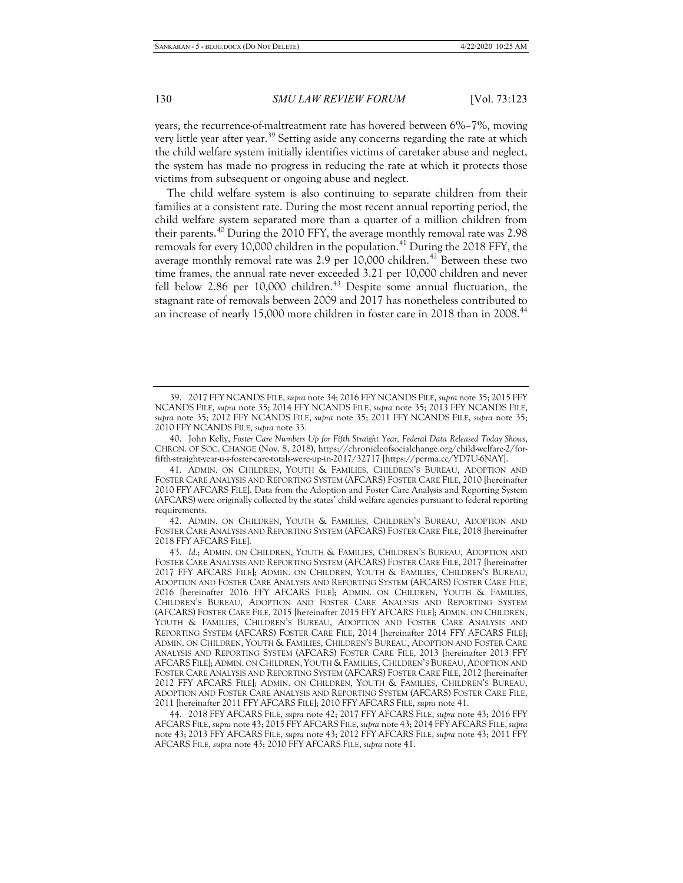years, the recurrence-of-maltreatment rate has hovered between 6%–7%, moving very little year after year.<sup>[39](#page-8-0)</sup> Setting aside any concerns regarding the rate at which the child welfare system initially identifies victims of caretaker abuse and neglect, the system has made no progress in reducing the rate at which it protects those victims from subsequent or ongoing abuse and neglect.

The child welfare system is also continuing to separate children from their families at a consistent rate. During the most recent annual reporting period, the child welfare system separated more than a quarter of a million children from their parents.<sup>[40](#page-8-1)</sup> During the 2010 FFY, the average monthly removal rate was 2.98 removals for every 10,000 children in the population.<sup>[41](#page-8-2)</sup> During the 2018 FFY, the average monthly removal rate was  $2.9$  per  $10,000$  children.<sup>[42](#page-8-3)</sup> Between these two time frames, the annual rate never exceeded 3.21 per 10,000 children and never fell below 2.86 per 10,000 children.<sup>[43](#page-8-4)</sup> Despite some annual fluctuation, the stagnant rate of removals between 2009 and 2017 has nonetheless contributed to an increase of nearly 15,000 more children in foster care in 2018 than in 2008.<sup>[44](#page-8-5)</sup>

<span id="page-8-1"></span>40. John Kelly, *Foster Care Numbers Up for Fifth Straight Year, Federal Data Released Today Shows*, CHRON. OF SOC. CHANGE (Nov. 8, 2018), https://chronicleofsocialchange.org/child-welfare-2/forfifth-straight-year-u-s-foster-care-totals-were-up-in-2017/32717 [https://perma.cc/YD7U-6NAY].

<span id="page-8-3"></span>42. ADMIN. ON CHILDREN, YOUTH & FAMILIES, CHILDREN'S BUREAU, ADOPTION AND FOSTER CARE ANALYSIS AND REPORTING SYSTEM (AFCARS) FOSTER CARE FILE, 2018 [hereinafter 2018 FFY AFCARS FILE].

<span id="page-8-0"></span><sup>39.</sup> 2017 FFY NCANDS FILE, *supra* note 34; 2016 FFY NCANDS FILE, *supra* note 35; 2015 FFY NCANDS FILE, *supra* note 35; 2014 FFY NCANDS FILE, *supra* note 35; 2013 FFY NCANDS FILE, *supra* note 35; 2012 FFY NCANDS FILE, *supra* note 35; 2011 FFY NCANDS FILE, *supra* note 35; 2010 FFY NCANDS FILE, *supra* note 33.

<span id="page-8-2"></span><sup>41.</sup> ADMIN. ON CHILDREN, YOUTH & FAMILIES, CHILDREN'S BUREAU, ADOPTION AND FOSTER CARE ANALYSIS AND REPORTING SYSTEM (AFCARS) FOSTER CARE FILE, 2010 [hereinafter 2010 FFY AFCARS FILE]. Data from the Adoption and Foster Care Analysis and Reporting System (AFCARS) were originally collected by the states' child welfare agencies pursuant to federal reporting requirements.

<span id="page-8-4"></span><sup>43.</sup> *Id.*; ADMIN. ON CHILDREN, YOUTH & FAMILIES, CHILDREN'S BUREAU, ADOPTION AND FOSTER CARE ANALYSIS AND REPORTING SYSTEM (AFCARS) FOSTER CARE FILE, 2017 [hereinafter 2017 FFY AFCARS FILE]; ADMIN. ON CHILDREN, YOUTH & FAMILIES, CHILDREN'S BUREAU, ADOPTION AND FOSTER CARE ANALYSIS AND REPORTING SYSTEM (AFCARS) FOSTER CARE FILE, 2016 [hereinafter 2016 FFY AFCARS FILE]; ADMIN. ON CHILDREN, YOUTH & FAMILIES, CHILDREN'S BUREAU, ADOPTION AND FOSTER CARE ANALYSIS AND REPORTING SYSTEM (AFCARS) FOSTER CARE FILE, 2015 [hereinafter 2015 FFY AFCARS FILE]; ADMIN. ON CHILDREN, YOUTH & FAMILIES, CHILDREN'S BUREAU, ADOPTION AND FOSTER CARE ANALYSIS AND REPORTING SYSTEM (AFCARS) FOSTER CARE FILE, 2014 [hereinafter 2014 FFY AFCARS FILE]; ADMIN. ON CHILDREN, YOUTH & FAMILIES, CHILDREN'S BUREAU, ADOPTION AND FOSTER CARE ANALYSIS AND REPORTING SYSTEM (AFCARS) FOSTER CARE FILE, 2013 [hereinafter 2013 FFY AFCARS FILE]; ADMIN. ON CHILDREN, YOUTH & FAMILIES, CHILDREN'S BUREAU, ADOPTION AND FOSTER CARE ANALYSIS AND REPORTING SYSTEM (AFCARS) FOSTER CARE FILE, 2012 [hereinafter 2012 FFY AFCARS FILE]; ADMIN. ON CHILDREN, YOUTH & FAMILIES, CHILDREN'S BUREAU, ADOPTION AND FOSTER CARE ANALYSIS AND REPORTING SYSTEM (AFCARS) FOSTER CARE FILE, 2011 [hereinafter 2011 FFY AFCARS FILE]; 2010 FFY AFCARS FILE, *supra* note 41.

<span id="page-8-5"></span><sup>44.</sup> 2018 FFY AFCARS FILE, *supra* note 42; 2017 FFY AFCARS FILE, *supra* note 43; 2016 FFY AFCARS FILE, *supra* note 43; 2015 FFY AFCARS FILE, *supra* note 43; 2014 FFY AFCARS FILE, *supra* note 43; 2013 FFY AFCARS FILE, *supra* note 43; 2012 FFY AFCARS FILE, *supra* note 43; 2011 FFY AFCARS FILE, *supra* note 43; 2010 FFY AFCARS FILE, *supra* note 41.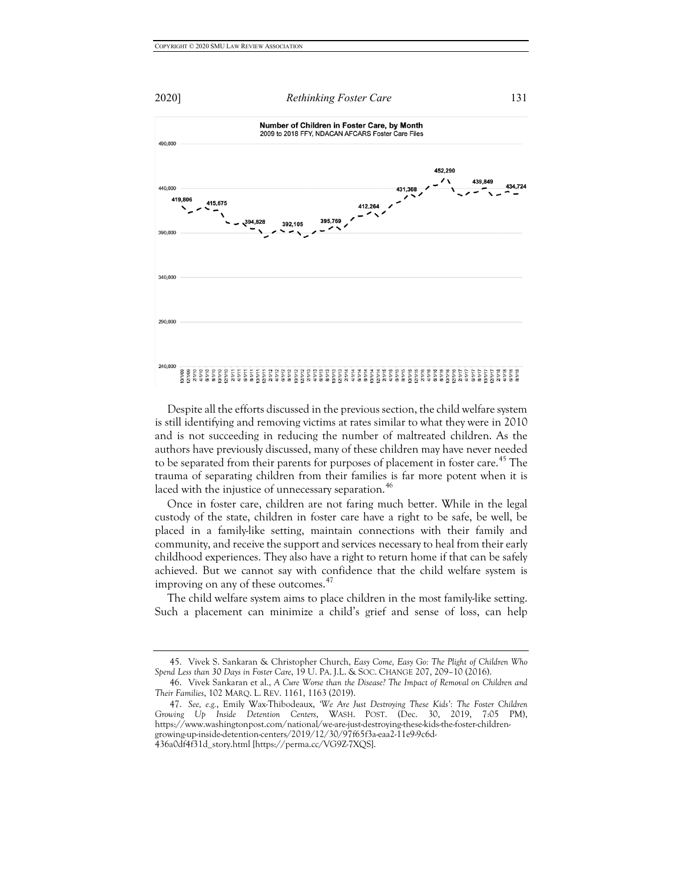

Despite all the efforts discussed in the previous section, the child welfare system is still identifying and removing victims at rates similar to what they were in 2010 and is not succeeding in reducing the number of maltreated children. As the authors have previously discussed, many of these children may have never needed to be separated from their parents for purposes of placement in foster care.<sup>[45](#page-9-0)</sup> The trauma of separating children from their families is far more potent when it is laced with the injustice of unnecessary separation.<sup>[46](#page-9-1)</sup>

Once in foster care, children are not faring much better. While in the legal custody of the state, children in foster care have a right to be safe, be well, be placed in a family-like setting, maintain connections with their family and community, and receive the support and services necessary to heal from their early childhood experiences. They also have a right to return home if that can be safely achieved. But we cannot say with confidence that the child welfare system is improving on any of these outcomes.<sup>[47](#page-9-2)</sup>

The child welfare system aims to place children in the most family-like setting. Such a placement can minimize a child's grief and sense of loss, can help

<span id="page-9-0"></span><sup>45.</sup> Vivek S. Sankaran & Christopher Church, *Easy Come, Easy Go: The Plight of Children Who Spend Less than 30 Days in Foster Care*, 19 U. PA. J.L. & SOC. CHANGE 207, 209–10 (2016).

<span id="page-9-1"></span><sup>46.</sup> Vivek Sankaran et al., *A Cure Worse than the Disease? The Impact of Removal on Children and Their Families*, 102 MARQ. L. REV. 1161, 1163 (2019).

<span id="page-9-2"></span><sup>47.</sup> *See, e.g.*, Emily Wax-Thibodeaux, *'We Are Just Destroying These Kids': The Foster Children Growing Up Inside Detention Centers*, WASH. POST. (Dec. 30, 2019, 7:05 PM), https://www.washingtonpost.com/national/we-are-just-destroying-these-kids-the-foster-childrengrowing-up-inside-detention-centers/2019/12/30/97f65f3a-eaa2-11e9-9c6d-436a0df4f31d\_story.html [https://perma.cc/VG9Z-7XQS].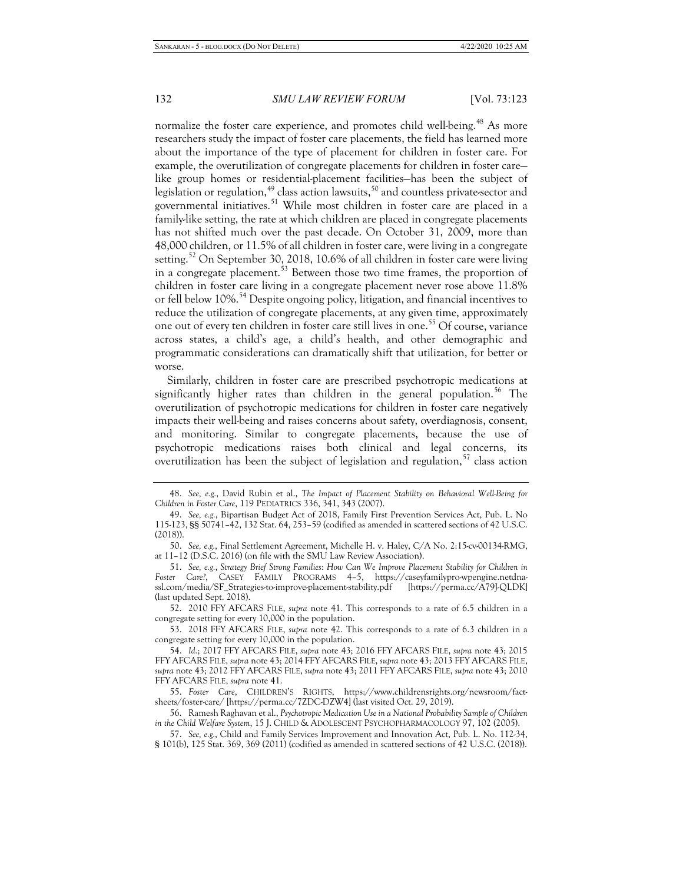normalize the foster care experience, and promotes child well-being.<sup>[48](#page-10-0)</sup> As more researchers study the impact of foster care placements, the field has learned more about the importance of the type of placement for children in foster care. For example, the overutilization of congregate placements for children in foster care like group homes or residential-placement facilities—has been the subject of legislation or regulation, $^{49}$  $^{49}$  $^{49}$  class action lawsuits, $^{50}$  $^{50}$  $^{50}$  and countless private-sector and governmental initiatives.<sup>[51](#page-10-3)</sup> While most children in foster care are placed in a family-like setting, the rate at which children are placed in congregate placements has not shifted much over the past decade. On October 31, 2009, more than 48,000 children, or 11.5% of all children in foster care, were living in a congregate setting.<sup>[52](#page-10-4)</sup> On September 30, 2018, 10.6% of all children in foster care were living in a congregate placement.<sup>[53](#page-10-5)</sup> Between those two time frames, the proportion of children in foster care living in a congregate placement never rose above 11.8% or fell below 10%.<sup>[54](#page-10-6)</sup> Despite ongoing policy, litigation, and financial incentives to reduce the utilization of congregate placements, at any given time, approximately one out of every ten children in foster care still lives in one.<sup>[55](#page-10-7)</sup> Of course, variance across states, a child's age, a child's health, and other demographic and programmatic considerations can dramatically shift that utilization, for better or worse.

Similarly, children in foster care are prescribed psychotropic medications at significantly higher rates than children in the general population.<sup>[56](#page-10-8)</sup> The overutilization of psychotropic medications for children in foster care negatively impacts their well-being and raises concerns about safety, overdiagnosis, consent, and monitoring. Similar to congregate placements, because the use of psychotropic medications raises both clinical and legal concerns, its overutilization has been the subject of legislation and regulation,<sup>[57](#page-10-9)</sup> class action

<span id="page-10-0"></span><sup>48.</sup> *See, e.g.*, David Rubin et al., *The Impact of Placement Stability on Behavioral Well-Being for Children in Foster Care*, 119 PEDIATRICS 336, 341, 343 (2007).

<span id="page-10-1"></span><sup>49.</sup> *See, e.g.*, Bipartisan Budget Act of 2018, Family First Prevention Services Act, Pub. L. No 115-123, §§ 50741–42, 132 Stat. 64, 253–59 (codified as amended in scattered sections of 42 U.S.C. (2018)).

<span id="page-10-2"></span><sup>50.</sup> *See, e.g.*, Final Settlement Agreement, Michelle H. v. Haley, C/A No. 2:15-cv-00134-RMG, at 11–12 (D.S.C. 2016) (on file with the SMU Law Review Association).

<span id="page-10-3"></span><sup>51.</sup> *See, e.g.*, *Strategy Brief Strong Families: How Can We Improve Placement Stability for Children in*  Foster Care?, CASEY FAMILY PROGRAMS 4-5, https://caseyfamilypro-wpengine.netdnassl.com/media/SF\_Strategies-to-improve-placement-stability.pdf [https://perma.cc/A79J-QLDK] (last updated Sept. 2018).

<span id="page-10-4"></span><sup>52.</sup> 2010 FFY AFCARS FILE, *supra* note 41. This corresponds to a rate of 6.5 children in a congregate setting for every 10,000 in the population.

<span id="page-10-5"></span><sup>53.</sup> 2018 FFY AFCARS FILE, *supra* note 42. This corresponds to a rate of 6.3 children in a congregate setting for every 10,000 in the population.

<span id="page-10-6"></span><sup>54.</sup> *Id.*; 2017 FFY AFCARS FILE, *supra* note 43; 2016 FFY AFCARS FILE, *supra* note 43; 2015 FFY AFCARS FILE, *supra* note 43; 2014 FFY AFCARS FILE, *supra* note 43; 2013 FFY AFCARS FILE, *supra* note 43; 2012 FFY AFCARS FILE, *supra* note 43; 2011 FFY AFCARS FILE, *supra* note 43; 2010 FFY AFCARS FILE, *supra* note 41.

<span id="page-10-7"></span><sup>55.</sup> *Foster Care*, CHILDREN'S RIGHTS, https://www.childrensrights.org/newsroom/factsheets/foster-care/ [https://perma.cc/7ZDC-DZW4] (last visited Oct. 29, 2019).

<span id="page-10-8"></span><sup>56.</sup> Ramesh Raghavan et al., *Psychotropic Medication Use in a National Probability Sample of Children in the Child Welfare System*, 15 J. CHILD & ADOLESCENT PSYCHOPHARMACOLOGY 97, 102 (2005).

<span id="page-10-9"></span><sup>57.</sup> *See, e.g.*, Child and Family Services Improvement and Innovation Act, Pub. L. No. 112-34, § 101(b), 125 Stat. 369, 369 (2011) (codified as amended in scattered sections of 42 U.S.C. (2018)).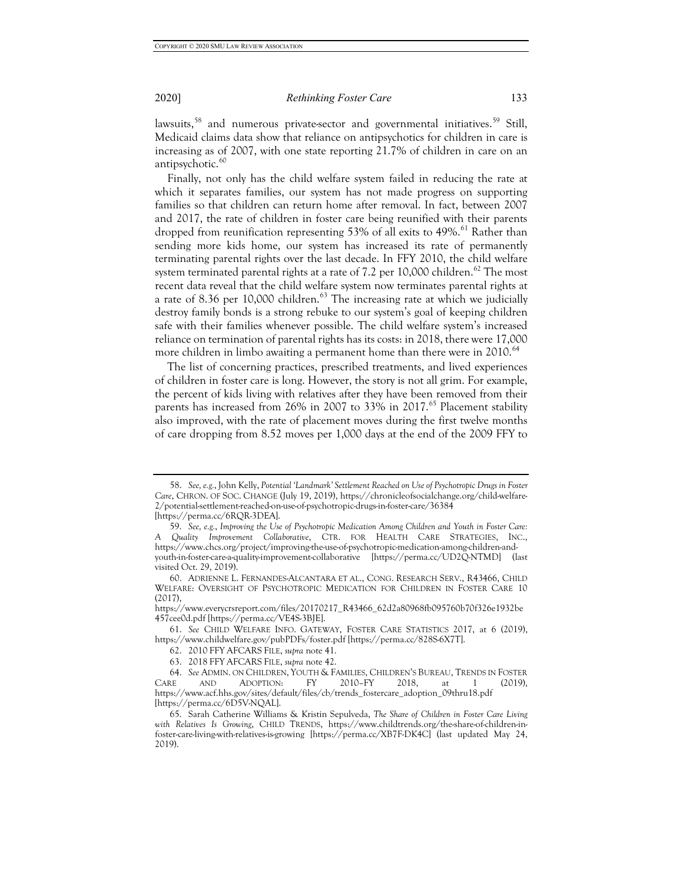lawsuits,<sup>[58](#page-11-0)</sup> and numerous private-sector and governmental initiatives.<sup>[59](#page-11-1)</sup> Still, Medicaid claims data show that reliance on antipsychotics for children in care is increasing as of 2007, with one state reporting 21.7% of children in care on an antipsychotic.<sup>[60](#page-11-2)</sup>

Finally, not only has the child welfare system failed in reducing the rate at which it separates families, our system has not made progress on supporting families so that children can return home after removal. In fact, between 2007 and 2017, the rate of children in foster care being reunified with their parents dropped from reunification representing 53% of all exits to  $49\%$ .<sup>[61](#page-11-3)</sup> Rather than sending more kids home, our system has increased its rate of permanently terminating parental rights over the last decade. In FFY 2010, the child welfare system terminated parental rights at a rate of 7.2 per 10,000 children.<sup>[62](#page-11-4)</sup> The most recent data reveal that the child welfare system now terminates parental rights at a rate of 8.36 per 10,000 children. $63$  The increasing rate at which we judicially destroy family bonds is a strong rebuke to our system's goal of keeping children safe with their families whenever possible. The child welfare system's increased reliance on termination of parental rights has its costs: in 2018, there were 17,000 more children in limbo awaiting a permanent home than there were in 2010.<sup>[64](#page-11-6)</sup>

The list of concerning practices, prescribed treatments, and lived experiences of children in foster care is long. However, the story is not all grim. For example, the percent of kids living with relatives after they have been removed from their parents has increased from 26% in 2007 to 33% in 2017.<sup>[65](#page-11-7)</sup> Placement stability also improved, with the rate of placement moves during the first twelve months of care dropping from 8.52 moves per 1,000 days at the end of the 2009 FFY to

<span id="page-11-0"></span><sup>58.</sup> *See, e.g.*, John Kelly, *Potential 'Landmark' Settlement Reached on Use of Psychotropic Drugs in Foster Care*, CHRON. OF SOC. CHANGE (July 19, 2019), https://chronicleofsocialchange.org/child-welfare-2/potential-settlement-reached-on-use-of-psychotropic-drugs-in-foster-care/36384 [https://perma.cc/6RQR-3DEA].

<span id="page-11-1"></span><sup>59.</sup> *See, e.g.*, *Improving the Use of Psychotropic Medication Among Children and Youth in Foster Care: A Quality Improvement Collaborative*, CTR. FOR HEALTH CARE STRATEGIES, INC., https://www.chcs.org/project/improving-the-use-of-psychotropic-medication-among-children-andyouth-in-foster-care-a-quality-improvement-collaborative [https://perma.cc/UD2Q-NTMD] (last visited Oct. 29, 2019).

<span id="page-11-2"></span><sup>60.</sup> ADRIENNE L. FERNANDES-ALCANTARA ET AL., CONG. RESEARCH SERV., R43466, CHILD WELFARE: OVERSIGHT OF PSYCHOTROPIC MEDICATION FOR CHILDREN IN FOSTER CARE 10  $(2.017)$ 

https://www.everycrsreport.com/files/20170217\_R43466\_62d2a80968fb095760b70f326e1932be 457cee0d.pdf [https://perma.cc/VE4S-3BJE].

<span id="page-11-4"></span><span id="page-11-3"></span><sup>61.</sup> *See* CHILD WELFARE INFO. GATEWAY, FOSTER CARE STATISTICS 2017, at 6 (2019), https://www.childwelfare.gov/pubPDFs/foster.pdf [https://perma.cc/828S-6X7T].

<sup>62.</sup> 2010 FFY AFCARS FILE, *supra* note 41.

<sup>63.</sup> 2018 FFY AFCARS FILE, *supra* note 42.

<span id="page-11-6"></span><span id="page-11-5"></span><sup>64.</sup> *See* ADMIN. ON CHILDREN, YOUTH & FAMILIES, CHILDREN'S BUREAU, TRENDS IN FOSTER CARE AND ADOPTION: FY 2010–FY 2018, at 1 (2019), https://www.acf.hhs.gov/sites/default/files/cb/trends\_fostercare\_adoption\_09thru18.pdf [https://perma.cc/6D5V-NQAL].

<span id="page-11-7"></span><sup>65.</sup> Sarah Catherine Williams & Kristin Sepulveda, *The Share of Children in Foster Care Living with Relatives Is Growing*, CHILD TRENDS, https://www.childtrends.org/the-share-of-children-infoster-care-living-with-relatives-is-growing [https://perma.cc/XB7F-DK4C] (last updated May 24, 2019).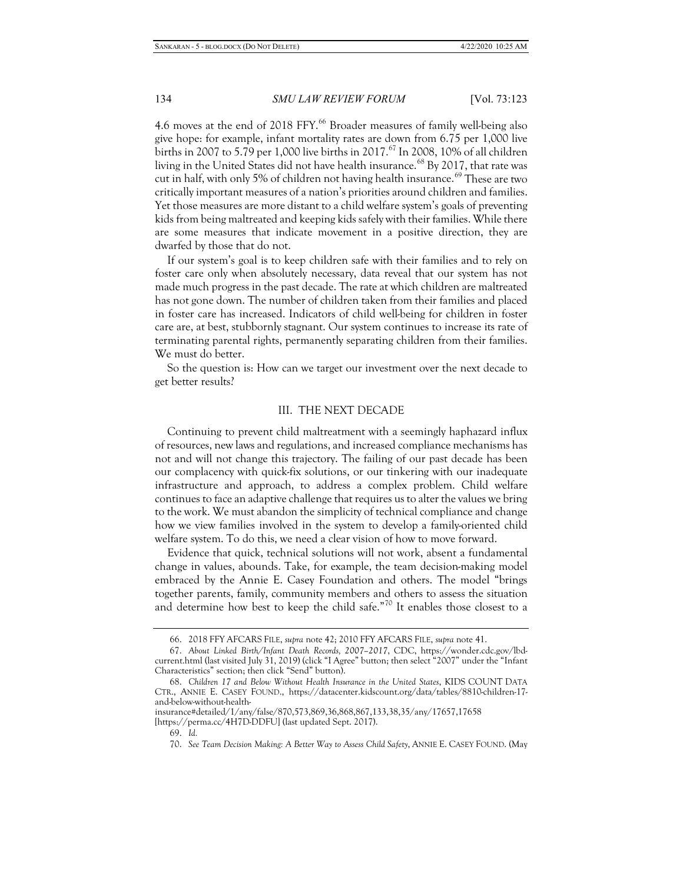4.6 moves at the end of 2018 FFY.<sup>[66](#page-12-0)</sup> Broader measures of family well-being also give hope: for example, infant mortality rates are down from 6.75 per 1,000 live births in 2007 to 5.79 per 1,000 live births in 2017.<sup>[67](#page-12-1)</sup> In 2008, 10% of all children living in the United States did not have health insurance.<sup>[68](#page-12-2)</sup> By 2017, that rate was cut in half, with only 5% of children not having health insurance.<sup>[69](#page-12-3)</sup> These are two critically important measures of a nation's priorities around children and families. Yet those measures are more distant to a child welfare system's goals of preventing kids from being maltreated and keeping kids safely with their families. While there are some measures that indicate movement in a positive direction, they are dwarfed by those that do not.

If our system's goal is to keep children safe with their families and to rely on foster care only when absolutely necessary, data reveal that our system has not made much progress in the past decade. The rate at which children are maltreated has not gone down. The number of children taken from their families and placed in foster care has increased. Indicators of child well-being for children in foster care are, at best, stubbornly stagnant. Our system continues to increase its rate of terminating parental rights, permanently separating children from their families. We must do better.

So the question is: How can we target our investment over the next decade to get better results?

### III. THE NEXT DECADE

Continuing to prevent child maltreatment with a seemingly haphazard influx of resources, new laws and regulations, and increased compliance mechanisms has not and will not change this trajectory. The failing of our past decade has been our complacency with quick-fix solutions, or our tinkering with our inadequate infrastructure and approach, to address a complex problem. Child welfare continues to face an adaptive challenge that requires us to alter the values we bring to the work. We must abandon the simplicity of technical compliance and change how we view families involved in the system to develop a family-oriented child welfare system. To do this, we need a clear vision of how to move forward.

Evidence that quick, technical solutions will not work, absent a fundamental change in values, abounds. Take, for example, the team decision-making model embraced by the Annie E. Casey Foundation and others. The model "brings together parents, family, community members and others to assess the situation and determine how best to keep the child safe."<sup>[70](#page-12-4)</sup> It enables those closest to a

<sup>66.</sup> 2018 FFY AFCARS FILE, *supra* note 42; 2010 FFY AFCARS FILE, *supra* note 41.

<span id="page-12-1"></span><span id="page-12-0"></span><sup>67.</sup> *About Linked Birth/Infant Death Records, 2007–2017*, CDC, https://wonder.cdc.gov/lbdcurrent.html (last visited July 31, 2019) (click "I Agree" button; then select "2007" under the "Infant Characteristics" section; then click "Send" button).

<span id="page-12-2"></span><sup>68.</sup> *Children 17 and Below Without Health Insurance in the United States*, KIDS COUNT DATA CTR., ANNIE E. CASEY FOUND., https://datacenter.kidscount.org/data/tables/8810-children-17 and-below-without-health-

<span id="page-12-4"></span><span id="page-12-3"></span>insurance#detailed/1/any/false/870,573,869,36,868,867,133,38,35/any/17657,17658 [https://perma.cc/4H7D-DDFU] (last updated Sept. 2017).

<sup>69.</sup> *Id.*

<sup>70.</sup> *See Team Decision Making: A Better Way to Assess Child Safety*, ANNIE E. CASEY FOUND. (May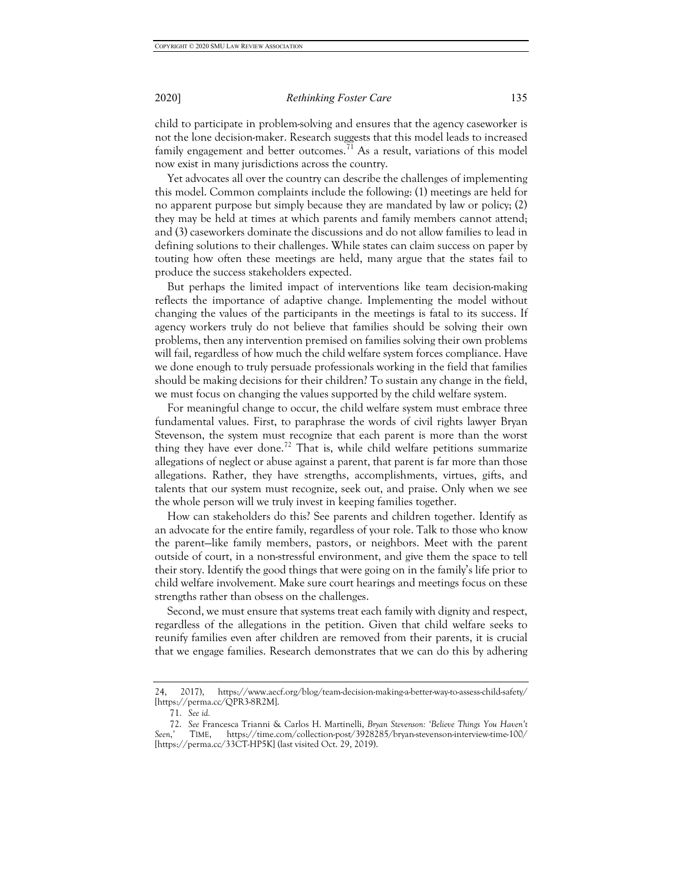child to participate in problem-solving and ensures that the agency caseworker is not the lone decision-maker. Research suggests that this model leads to increased family engagement and better outcomes.<sup>[71](#page-13-0)</sup> As a result, variations of this model now exist in many jurisdictions across the country.

Yet advocates all over the country can describe the challenges of implementing this model. Common complaints include the following: (1) meetings are held for no apparent purpose but simply because they are mandated by law or policy; (2) they may be held at times at which parents and family members cannot attend; and (3) caseworkers dominate the discussions and do not allow families to lead in defining solutions to their challenges. While states can claim success on paper by touting how often these meetings are held, many argue that the states fail to produce the success stakeholders expected.

But perhaps the limited impact of interventions like team decision-making reflects the importance of adaptive change. Implementing the model without changing the values of the participants in the meetings is fatal to its success. If agency workers truly do not believe that families should be solving their own problems, then any intervention premised on families solving their own problems will fail, regardless of how much the child welfare system forces compliance. Have we done enough to truly persuade professionals working in the field that families should be making decisions for their children? To sustain any change in the field, we must focus on changing the values supported by the child welfare system.

For meaningful change to occur, the child welfare system must embrace three fundamental values. First, to paraphrase the words of civil rights lawyer Bryan Stevenson, the system must recognize that each parent is more than the worst thing they have ever done.<sup>[72](#page-13-1)</sup> That is, while child welfare petitions summarize allegations of neglect or abuse against a parent, that parent is far more than those allegations. Rather, they have strengths, accomplishments, virtues, gifts, and talents that our system must recognize, seek out, and praise. Only when we see the whole person will we truly invest in keeping families together.

How can stakeholders do this? See parents and children together. Identify as an advocate for the entire family, regardless of your role. Talk to those who know the parent—like family members, pastors, or neighbors. Meet with the parent outside of court, in a non-stressful environment, and give them the space to tell their story. Identify the good things that were going on in the family's life prior to child welfare involvement. Make sure court hearings and meetings focus on these strengths rather than obsess on the challenges.

Second, we must ensure that systems treat each family with dignity and respect, regardless of the allegations in the petition. Given that child welfare seeks to reunify families even after children are removed from their parents, it is crucial that we engage families. Research demonstrates that we can do this by adhering

<sup>24, 2017),</sup> https://www.aecf.org/blog/team-decision-making-a-better-way-to-assess-child-safety/ [https://perma.cc/QPR3-8R2M].

<sup>71.</sup> *See id.*

<span id="page-13-1"></span><span id="page-13-0"></span><sup>72.</sup> *See* Francesca Trianni & Carlos H. Martinelli, *Bryan Stevenson: 'Believe Things You Haven't Seen*,*'* TIME, https://time.com/collection-post/3928285/bryan-stevenson-interview-time-100/ [https://perma.cc/33CT-HP5K] (last visited Oct. 29, 2019).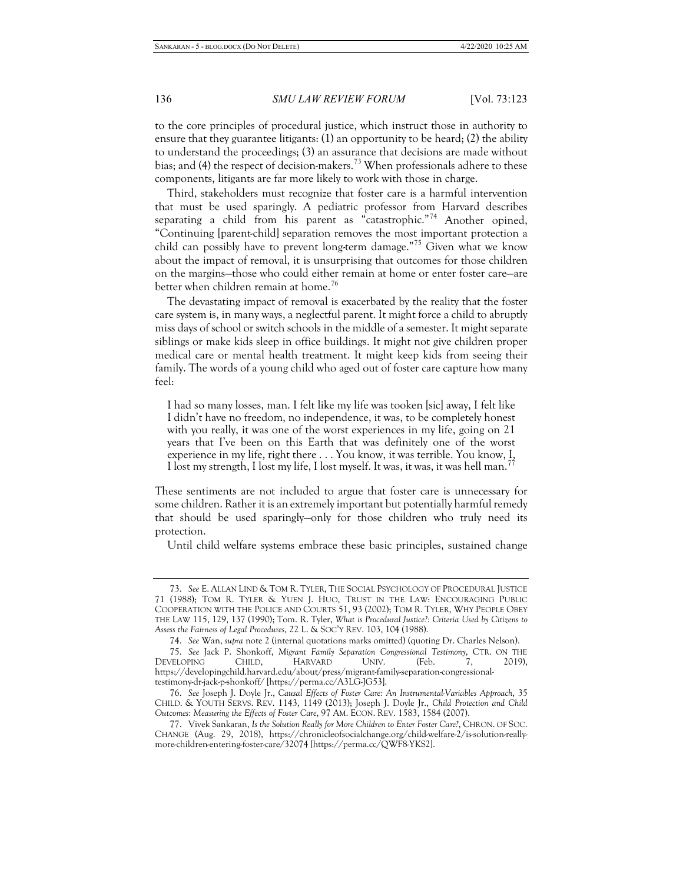to the core principles of procedural justice, which instruct those in authority to ensure that they guarantee litigants: (1) an opportunity to be heard; (2) the ability to understand the proceedings; (3) an assurance that decisions are made without bias; and (4) the respect of decision-makers.<sup>[73](#page-14-0)</sup> When professionals adhere to these components, litigants are far more likely to work with those in charge.

Third, stakeholders must recognize that foster care is a harmful intervention that must be used sparingly. A pediatric professor from Harvard describes separating a child from his parent as "catastrophic."<sup>[74](#page-14-1)</sup> Another opined, "Continuing [parent-child] separation removes the most important protection a child can possibly have to prevent long-term damage."<sup>[75](#page-14-2)</sup> Given what we know about the impact of removal, it is unsurprising that outcomes for those children on the margins—those who could either remain at home or enter foster care—are better when children remain at home.<sup>[76](#page-14-3)</sup>

The devastating impact of removal is exacerbated by the reality that the foster care system is, in many ways, a neglectful parent. It might force a child to abruptly miss days of school or switch schools in the middle of a semester. It might separate siblings or make kids sleep in office buildings. It might not give children proper medical care or mental health treatment. It might keep kids from seeing their family. The words of a young child who aged out of foster care capture how many feel:

I had so many losses, man. I felt like my life was tooken [sic] away, I felt like I didn't have no freedom, no independence, it was, to be completely honest with you really, it was one of the worst experiences in my life, going on 21 years that I've been on this Earth that was definitely one of the worst experience in my life, right there . . . You know, it was terrible. You know, I, I lost my strength, I lost my life, I lost myself. It was, it was, it was hell man.<sup>7</sup>

These sentiments are not included to argue that foster care is unnecessary for some children. Rather it is an extremely important but potentially harmful remedy that should be used sparingly—only for those children who truly need its protection.

Until child welfare systems embrace these basic principles, sustained change

<span id="page-14-0"></span><sup>73.</sup> *See* E. ALLAN LIND & TOM R. TYLER, THE SOCIAL PSYCHOLOGY OF PROCEDURAL JUSTICE 71 (1988); TOM R. TYLER & YUEN J. HUO, TRUST IN THE LAW: ENCOURAGING PUBLIC COOPERATION WITH THE POLICE AND COURTS 51, 93 (2002); TOM R. TYLER, WHY PEOPLE OBEY THE LAW 115, 129, 137 (1990); Tom. R. Tyler, *What is Procedural Justice?: Criteria Used by Citizens to Assess the Fairness of Legal Procedures*, 22 L. & SOC'Y REV. 103, 104 (1988).

<sup>74.</sup> *See* Wan, *supra* note 2 (internal quotations marks omitted) (quoting Dr. Charles Nelson).

<span id="page-14-2"></span><span id="page-14-1"></span><sup>75.</sup> *See* Jack P. Shonkoff, *Migrant Family Separation Congressional Testimony*, CTR. ON THE DEVELOPING CHILD, HARVARD UNIV. (Feb. 7, 2019), https://developingchild.harvard.edu/about/press/migrant-family-separation-congressionaltestimony-dr-jack-p-shonkoff/ [https://perma.cc/A3LG-JG53].

<span id="page-14-3"></span><sup>76.</sup> *See* Joseph J. Doyle Jr., *Causal Effects of Foster Care: An Instrumental-Variables Approach*, 35 CHILD. & YOUTH SERVS. REV. 1143, 1149 (2013); Joseph J. Doyle Jr., *Child Protection and Child Outcomes: Measuring the Effects of Foster Care*, 97 AM. ECON. REV. 1583, 1584 (2007).

<span id="page-14-4"></span><sup>77.</sup> Vivek Sankaran, *Is the Solution Really for More Children to Enter Foster Care?*, CHRON. OF SOC. CHANGE (Aug. 29, 2018), https://chronicleofsocialchange.org/child-welfare-2/is-solution-reallymore-children-entering-foster-care/32074 [https://perma.cc/QWF8-YKS2].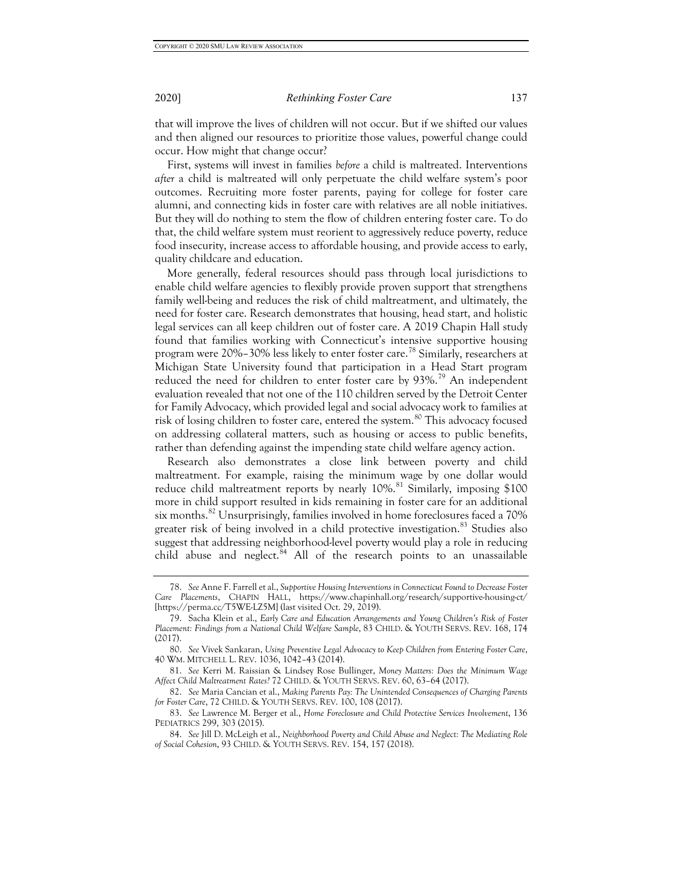that will improve the lives of children will not occur. But if we shifted our values and then aligned our resources to prioritize those values, powerful change could occur. How might that change occur?

First, systems will invest in families *before* a child is maltreated. Interventions *after* a child is maltreated will only perpetuate the child welfare system's poor outcomes. Recruiting more foster parents, paying for college for foster care alumni, and connecting kids in foster care with relatives are all noble initiatives. But they will do nothing to stem the flow of children entering foster care. To do that, the child welfare system must reorient to aggressively reduce poverty, reduce food insecurity, increase access to affordable housing, and provide access to early, quality childcare and education.

More generally, federal resources should pass through local jurisdictions to enable child welfare agencies to flexibly provide proven support that strengthens family well-being and reduces the risk of child maltreatment, and ultimately, the need for foster care. Research demonstrates that housing, head start, and holistic legal services can all keep children out of foster care. A 2019 Chapin Hall study found that families working with Connecticut's intensive supportive housing program were 20%–30% less likely to enter foster care.<sup>[78](#page-15-0)</sup> Similarly, researchers at Michigan State University found that participation in a Head Start program reduced the need for children to enter foster care by 93%.<sup>[79](#page-15-1)</sup> An independent evaluation revealed that not one of the 110 children served by the Detroit Center for Family Advocacy, which provided legal and social advocacy work to families at risk of losing children to foster care, entered the system.<sup>[80](#page-15-2)</sup> This advocacy focused on addressing collateral matters, such as housing or access to public benefits, rather than defending against the impending state child welfare agency action.

Research also demonstrates a close link between poverty and child maltreatment. For example, raising the minimum wage by one dollar would reduce child maltreatment reports by nearly 10%.<sup>[81](#page-15-3)</sup> Similarly, imposing \$100 more in child support resulted in kids remaining in foster care for an additional six months.<sup>[82](#page-15-4)</sup> Unsurprisingly, families involved in home foreclosures faced a 70% greater risk of being involved in a child protective investigation. $83$  Studies also suggest that addressing neighborhood-level poverty would play a role in reducing child abuse and neglect. $84$  All of the research points to an unassailable

<span id="page-15-0"></span><sup>78.</sup> *See* Anne F. Farrell et al., *Supportive Housing Interventions in Connecticut Found to Decrease Foster Care Placements*, CHAPIN HALL, https://www.chapinhall.org/research/supportive-housing-ct/ [https://perma.cc/T5WE-LZ5M] (last visited Oct. 29, 2019).

<span id="page-15-1"></span><sup>79.</sup> Sacha Klein et al., *Early Care and Education Arrangements and Young Children's Risk of Foster Placement: Findings from a National Child Welfare Sample*, 83 CHILD. & YOUTH SERVS. REV. 168, 174 (2017).

<span id="page-15-2"></span><sup>80.</sup> *See* Vivek Sankaran, *Using Preventive Legal Advocacy to Keep Children from Entering Foster Care*, 40 WM. MITCHELL L. REV. 1036, 1042–43 (2014).

<span id="page-15-3"></span><sup>81.</sup> *See* Kerri M. Raissian & Lindsey Rose Bullinger, *Money Matters: Does the Minimum Wage Affect Child Maltreatment Rates?* 72 CHILD. & YOUTH SERVS. REV. 60, 63–64 (2017).

<span id="page-15-4"></span><sup>82.</sup> *See* Maria Cancian et al., *Making Parents Pay: The Unintended Consequences of Charging Parents for Foster Care*, 72 CHILD. & YOUTH SERVS. REV. 100, 108 (2017).

<span id="page-15-5"></span><sup>83.</sup> *See* Lawrence M. Berger et al., *Home Foreclosure and Child Protective Services Involvement*, 136 PEDIATRICS 299, 303 (2015).

<span id="page-15-6"></span><sup>84.</sup> *See* Jill D. McLeigh et al., *Neighborhood Poverty and Child Abuse and Neglect: The Mediating Role of Social Cohesion*, 93 CHILD. & YOUTH SERVS. REV. 154, 157 (2018).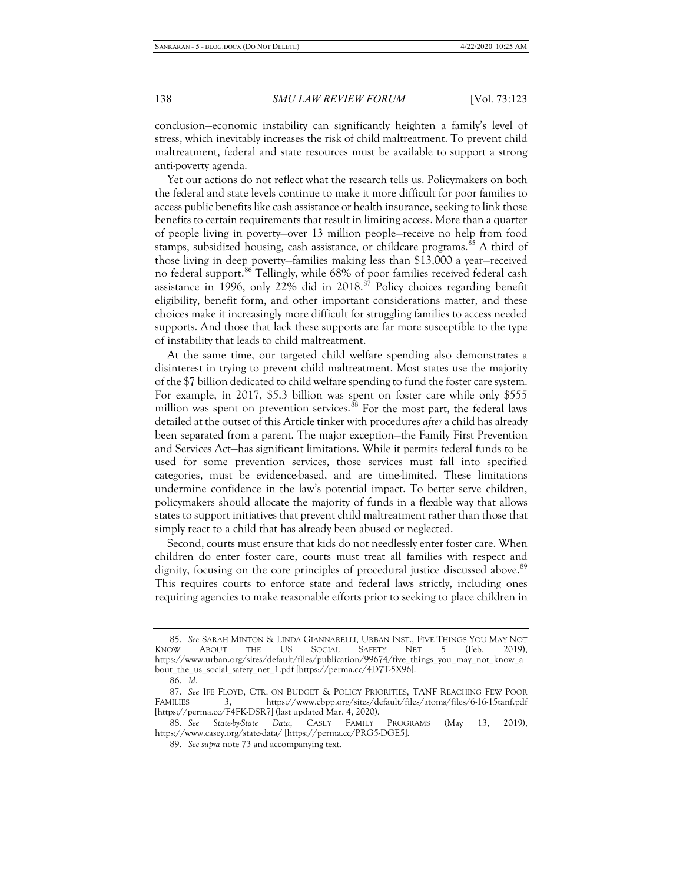conclusion—economic instability can significantly heighten a family's level of stress, which inevitably increases the risk of child maltreatment. To prevent child maltreatment, federal and state resources must be available to support a strong anti-poverty agenda.

Yet our actions do not reflect what the research tells us. Policymakers on both the federal and state levels continue to make it more difficult for poor families to access public benefits like cash assistance or health insurance, seeking to link those benefits to certain requirements that result in limiting access. More than a quarter of people living in poverty—over 13 million people—receive no help from food stamps, subsidized housing, cash assistance, or childcare programs.<sup>[85](#page-16-0)</sup> A third of those living in deep poverty—families making less than \$13,000 a year—received no federal support.<sup>[86](#page-16-1)</sup> Tellingly, while 68% of poor families received federal cash assistance in 1996, only 22% did in 2018.<sup>[87](#page-16-2)</sup> Policy choices regarding benefit eligibility, benefit form, and other important considerations matter, and these choices make it increasingly more difficult for struggling families to access needed supports. And those that lack these supports are far more susceptible to the type of instability that leads to child maltreatment.

At the same time, our targeted child welfare spending also demonstrates a disinterest in trying to prevent child maltreatment. Most states use the majority of the \$7 billion dedicated to child welfare spending to fund the foster care system. For example, in 2017, \$5.3 billion was spent on foster care while only \$555 million was spent on prevention services.<sup>[88](#page-16-3)</sup> For the most part, the federal laws detailed at the outset of this Article tinker with procedures *after* a child has already been separated from a parent. The major exception—the Family First Prevention and Services Act—has significant limitations. While it permits federal funds to be used for some prevention services, those services must fall into specified categories, must be evidence-based, and are time-limited. These limitations undermine confidence in the law's potential impact. To better serve children, policymakers should allocate the majority of funds in a flexible way that allows states to support initiatives that prevent child maltreatment rather than those that simply react to a child that has already been abused or neglected.

Second, courts must ensure that kids do not needlessly enter foster care. When children do enter foster care, courts must treat all families with respect and dignity, focusing on the core principles of procedural justice discussed above.<sup>[89](#page-16-4)</sup> This requires courts to enforce state and federal laws strictly, including ones requiring agencies to make reasonable efforts prior to seeking to place children in

<span id="page-16-0"></span><sup>85.</sup> *See* SARAH MINTON & LINDA GIANNARELLI, URBAN INST., FIVE THINGS YOU MAY NOT KNOW ABOUT THE US SOCIAL SAFETY NET 5 (Feb. 2019), https://www.urban.org/sites/default/files/publication/99674/five\_things\_you\_may\_not\_know\_a bout\_the\_us\_social\_safety\_net\_1.pdf [https://perma.cc/4D7T-5X96].

<sup>86.</sup> *Id.*

<span id="page-16-2"></span><span id="page-16-1"></span><sup>87.</sup> *See* IFE FLOYD, CTR. ON BUDGET & POLICY PRIORITIES, TANF REACHING FEW POOR FAMILIES 3, https://www.cbpp.org/sites/default/files/atoms/files/6-16-15tanf.pdf [https://perma.cc/F4FK-DSR7] (last updated Mar. 4, 2020).

<span id="page-16-4"></span><span id="page-16-3"></span><sup>88.</sup> *See State-by-State Data*, CASEY FAMILY PROGRAMS (May 13, 2019), https://www.casey.org/state-data/ [https://perma.cc/PRG5-DGE5].

<sup>89.</sup> *See supra* note 73 and accompanying text.